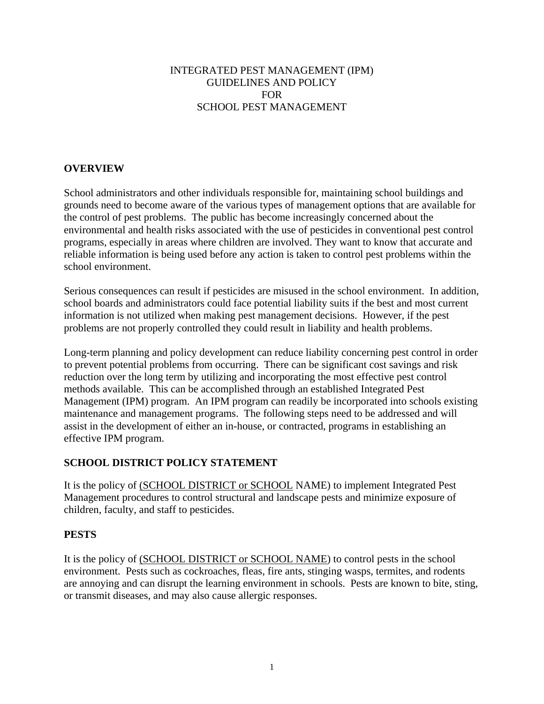#### INTEGRATED PEST MANAGEMENT (IPM) GUIDELINES AND POLICY FOR SCHOOL PEST MANAGEMENT

## **OVERVIEW**

School administrators and other individuals responsible for, maintaining school buildings and grounds need to become aware of the various types of management options that are available for the control of pest problems. The public has become increasingly concerned about the environmental and health risks associated with the use of pesticides in conventional pest control programs, especially in areas where children are involved. They want to know that accurate and reliable information is being used before any action is taken to control pest problems within the school environment.

Serious consequences can result if pesticides are misused in the school environment. In addition, school boards and administrators could face potential liability suits if the best and most current information is not utilized when making pest management decisions. However, if the pest problems are not properly controlled they could result in liability and health problems.

Long-term planning and policy development can reduce liability concerning pest control in order to prevent potential problems from occurring. There can be significant cost savings and risk reduction over the long term by utilizing and incorporating the most effective pest control methods available. This can be accomplished through an established Integrated Pest Management (IPM) program. An IPM program can readily be incorporated into schools existing maintenance and management programs. The following steps need to be addressed and will assist in the development of either an in-house, or contracted, programs in establishing an effective IPM program.

## **SCHOOL DISTRICT POLICY STATEMENT**

It is the policy of (SCHOOL DISTRICT or SCHOOL NAME) to implement Integrated Pest Management procedures to control structural and landscape pests and minimize exposure of children, faculty, and staff to pesticides.

#### **PESTS**

It is the policy of (SCHOOL DISTRICT or SCHOOL NAME) to control pests in the school environment. Pests such as cockroaches, fleas, fire ants, stinging wasps, termites, and rodents are annoying and can disrupt the learning environment in schools. Pests are known to bite, sting, or transmit diseases, and may also cause allergic responses.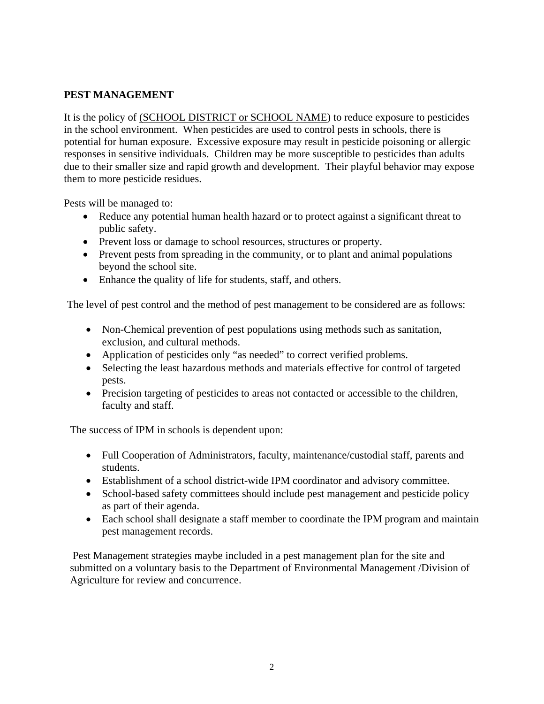## **PEST MANAGEMENT**

It is the policy of (SCHOOL DISTRICT or SCHOOL NAME) to reduce exposure to pesticides in the school environment. When pesticides are used to control pests in schools, there is potential for human exposure. Excessive exposure may result in pesticide poisoning or allergic responses in sensitive individuals. Children may be more susceptible to pesticides than adults due to their smaller size and rapid growth and development. Their playful behavior may expose them to more pesticide residues.

Pests will be managed to:

- Reduce any potential human health hazard or to protect against a significant threat to public safety.
- Prevent loss or damage to school resources, structures or property.
- Prevent pests from spreading in the community, or to plant and animal populations beyond the school site.
- Enhance the quality of life for students, staff, and others.

The level of pest control and the method of pest management to be considered are as follows:

- Non-Chemical prevention of pest populations using methods such as sanitation, exclusion, and cultural methods.
- Application of pesticides only "as needed" to correct verified problems.
- Selecting the least hazardous methods and materials effective for control of targeted pests.
- Precision targeting of pesticides to areas not contacted or accessible to the children, faculty and staff.

The success of IPM in schools is dependent upon:

- Full Cooperation of Administrators, faculty, maintenance/custodial staff, parents and students.
- Establishment of a school district-wide IPM coordinator and advisory committee.
- School-based safety committees should include pest management and pesticide policy as part of their agenda.
- Each school shall designate a staff member to coordinate the IPM program and maintain pest management records.

 Pest Management strategies maybe included in a pest management plan for the site and submitted on a voluntary basis to the Department of Environmental Management /Division of Agriculture for review and concurrence.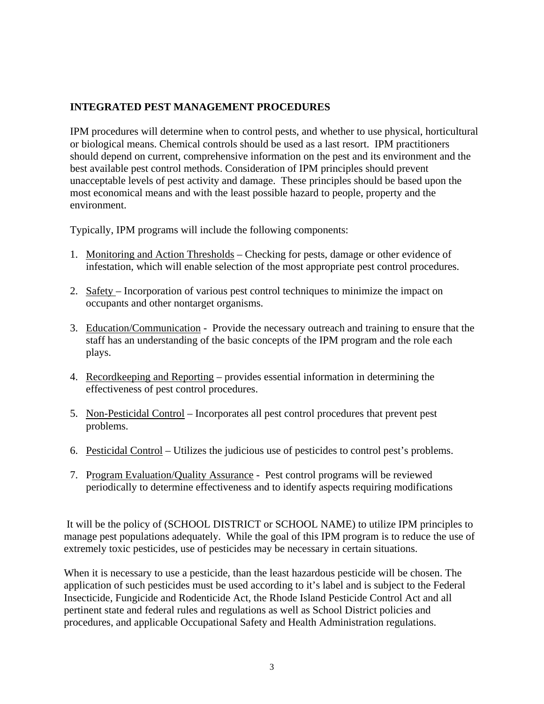## **INTEGRATED PEST MANAGEMENT PROCEDURES**

IPM procedures will determine when to control pests, and whether to use physical, horticultural or biological means. Chemical controls should be used as a last resort. IPM practitioners should depend on current, comprehensive information on the pest and its environment and the best available pest control methods. Consideration of IPM principles should prevent unacceptable levels of pest activity and damage. These principles should be based upon the most economical means and with the least possible hazard to people, property and the environment.

Typically, IPM programs will include the following components:

- 1. Monitoring and Action Thresholds Checking for pests, damage or other evidence of infestation, which will enable selection of the most appropriate pest control procedures.
- 2. Safety Incorporation of various pest control techniques to minimize the impact on occupants and other nontarget organisms.
- 3. Education/Communication Provide the necessary outreach and training to ensure that the staff has an understanding of the basic concepts of the IPM program and the role each plays.
- 4. Recordkeeping and Reporting provides essential information in determining the effectiveness of pest control procedures.
- 5. Non-Pesticidal Control Incorporates all pest control procedures that prevent pest problems.
- 6. Pesticidal Control Utilizes the judicious use of pesticides to control pest's problems.
- 7. Program Evaluation/Quality Assurance Pest control programs will be reviewed periodically to determine effectiveness and to identify aspects requiring modifications

 It will be the policy of (SCHOOL DISTRICT or SCHOOL NAME) to utilize IPM principles to manage pest populations adequately. While the goal of this IPM program is to reduce the use of extremely toxic pesticides, use of pesticides may be necessary in certain situations.

When it is necessary to use a pesticide, than the least hazardous pesticide will be chosen. The application of such pesticides must be used according to it's label and is subject to the Federal Insecticide, Fungicide and Rodenticide Act, the Rhode Island Pesticide Control Act and all pertinent state and federal rules and regulations as well as School District policies and procedures, and applicable Occupational Safety and Health Administration regulations.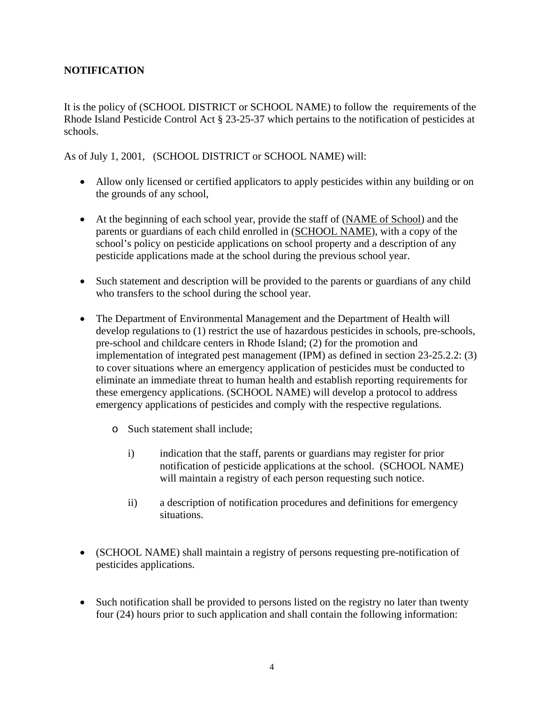# **NOTIFICATION**

It is the policy of (SCHOOL DISTRICT or SCHOOL NAME) to follow the requirements of the Rhode Island Pesticide Control Act § 23-25-37 which pertains to the notification of pesticides at schools.

As of July 1, 2001, (SCHOOL DISTRICT or SCHOOL NAME) will:

- Allow only licensed or certified applicators to apply pesticides within any building or on the grounds of any school,
- At the beginning of each school year, provide the staff of (NAME of School) and the parents or guardians of each child enrolled in (SCHOOL NAME), with a copy of the school's policy on pesticide applications on school property and a description of any pesticide applications made at the school during the previous school year.
- Such statement and description will be provided to the parents or guardians of any child who transfers to the school during the school year.
- The Department of Environmental Management and the Department of Health will develop regulations to (1) restrict the use of hazardous pesticides in schools, pre-schools, pre-school and childcare centers in Rhode Island; (2) for the promotion and implementation of integrated pest management (IPM) as defined in section 23-25.2.2: (3) to cover situations where an emergency application of pesticides must be conducted to eliminate an immediate threat to human health and establish reporting requirements for these emergency applications. (SCHOOL NAME) will develop a protocol to address emergency applications of pesticides and comply with the respective regulations.
	- o Such statement shall include;
		- i) indication that the staff, parents or guardians may register for prior notification of pesticide applications at the school. (SCHOOL NAME) will maintain a registry of each person requesting such notice.
		- ii) a description of notification procedures and definitions for emergency situations.
- (SCHOOL NAME) shall maintain a registry of persons requesting pre-notification of pesticides applications.
- Such notification shall be provided to persons listed on the registry no later than twenty four (24) hours prior to such application and shall contain the following information: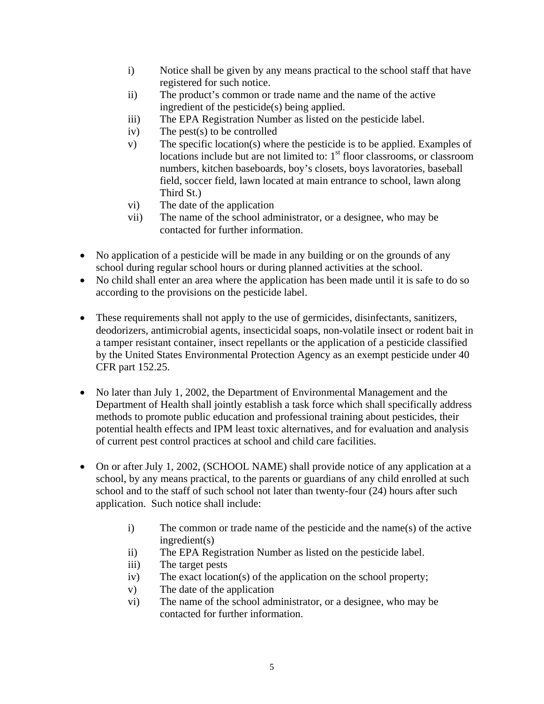- i) Notice shall be given by any means practical to the school staff that have registered for such notice.
- ii) The product's common or trade name and the name of the active ingredient of the pesticide(s) being applied.
- iii) The EPA Registration Number as listed on the pesticide label.
- iv) The pest(s) to be controlled
- v) The specific location(s) where the pesticide is to be applied. Examples of locations include but are not limited to:  $1<sup>st</sup>$  floor classrooms, or classroom numbers, kitchen baseboards, boy's closets, boys lavoratories, baseball field, soccer field, lawn located at main entrance to school, lawn along Third St.)
- vi) The date of the application
- vii) The name of the school administrator, or a designee, who may be contacted for further information.
- No application of a pesticide will be made in any building or on the grounds of any school during regular school hours or during planned activities at the school.
- No child shall enter an area where the application has been made until it is safe to do so according to the provisions on the pesticide label.
- These requirements shall not apply to the use of germicides, disinfectants, sanitizers, deodorizers, antimicrobial agents, insecticidal soaps, non-volatile insect or rodent bait in a tamper resistant container, insect repellants or the application of a pesticide classified by the United States Environmental Protection Agency as an exempt pesticide under 40 CFR part 152.25.
- No later than July 1, 2002, the Department of Environmental Management and the Department of Health shall jointly establish a task force which shall specifically address methods to promote public education and professional training about pesticides, their potential health effects and IPM least toxic alternatives, and for evaluation and analysis of current pest control practices at school and child care facilities.
- On or after July 1, 2002, (SCHOOL NAME) shall provide notice of any application at a school, by any means practical, to the parents or guardians of any child enrolled at such school and to the staff of such school not later than twenty-four (24) hours after such application. Such notice shall include:
	- i) The common or trade name of the pesticide and the name(s) of the active ingredient(s)
	- ii) The EPA Registration Number as listed on the pesticide label.
	- iii) The target pests
	- iv) The exact location(s) of the application on the school property;
	- v) The date of the application
	- vi) The name of the school administrator, or a designee, who may be contacted for further information.